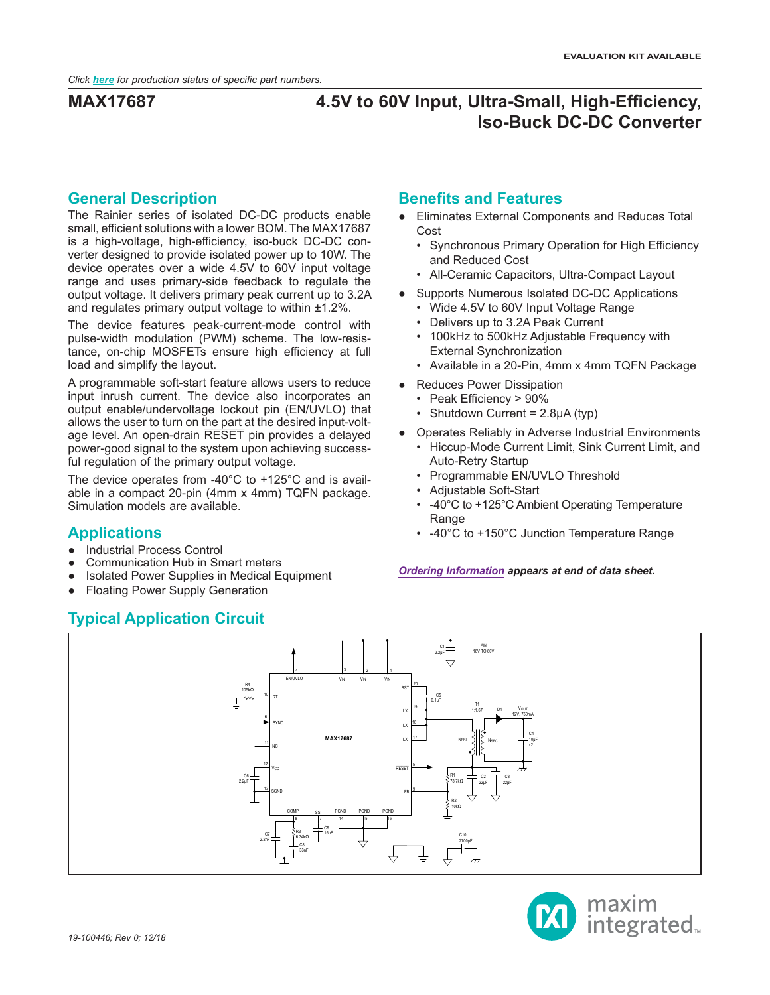## **General Description**

The Rainier series of isolated DC-DC products enable small, efficient solutions with a lower BOM. The MAX17687 is a high-voltage, high-efficiency, iso-buck DC-DC converter designed to provide isolated power up to 10W. The device operates over a wide 4.5V to 60V input voltage range and uses primary-side feedback to regulate the output voltage. It delivers primary peak current up to 3.2A and regulates primary output voltage to within ±1.2%.

The device features peak-current-mode control with pulse-width modulation (PWM) scheme. The low-resistance, on-chip MOSFETs ensure high efficiency at full load and simplify the layout.

A programmable soft-start feature allows users to reduce input inrush current. The device also incorporates an output enable/undervoltage lockout pin (EN/UVLO) that allows the user to turn on the part at the desired input-voltage level. An open-drain RESET pin provides a delayed power-good signal to the system upon achieving successful regulation of the primary output voltage.

The device operates from -40°C to +125°C and is available in a compact 20-pin (4mm x 4mm) TQFN package. Simulation models are available.

## **Applications**

- Industrial Process Control
- Communication Hub in Smart meters
- Isolated Power Supplies in Medical Equipment
- **Floating Power Supply Generation**

## **Typical Application Circuit**

## **Benefits and Features**

- Eliminates External Components and Reduces Total Cost
	- Synchronous Primary Operation for High Efficiency and Reduced Cost
	- All-Ceramic Capacitors, Ultra-Compact Layout
- Supports Numerous Isolated DC-DC Applications
	- Wide 4.5V to 60V Input Voltage Range
	- Delivers up to 3.2A Peak Current
	- 100kHz to 500kHz Adjustable Frequency with External Synchronization
	- Available in a 20-Pin, 4mm x 4mm TQFN Package
- Reduces Power Dissipation
	- Peak Efficiency > 90%
	- Shutdown Current = 2.8µA (typ)
- Operates Reliably in Adverse Industrial Environments
	- Hiccup-Mode Current Limit, Sink Current Limit, and Auto-Retry Startup
	- Programmable EN/UVLO Threshold
	- Adjustable Soft-Start
	- -40°C to +125°C Ambient Operating Temperature Range
	- -40°C to +150°C Junction Temperature Range

*[Ordering Information](#page-17-0) appears at end of data sheet.*



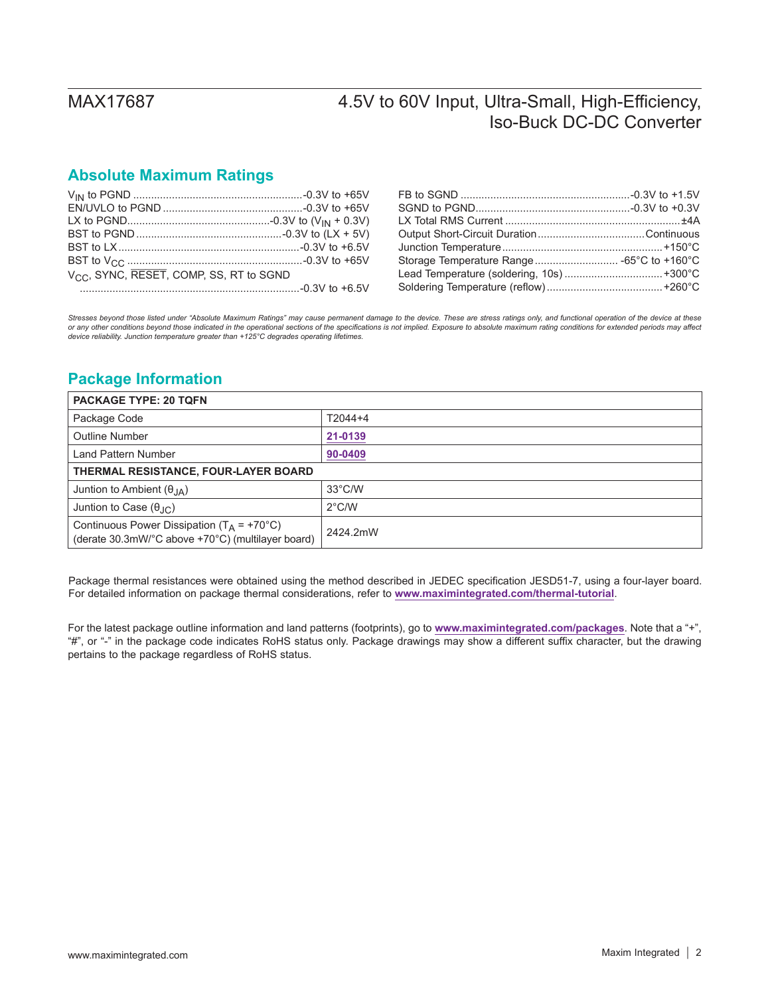## **Absolute Maximum Ratings**

| V <sub>CC</sub> , SYNC, RESET, COMP, SS, RT to SGND |  |
|-----------------------------------------------------|--|
|                                                     |  |

| Storage Temperature Range -65°C to +160°C |  |
|-------------------------------------------|--|
| Lead Temperature (soldering, 10s)  +300°C |  |
|                                           |  |
|                                           |  |

*Stresses beyond those listed under "Absolute Maximum Ratings" may cause permanent damage to the device. These are stress ratings only, and functional operation of the device at these*  or any other conditions beyond those indicated in the operational sections of the specifications is not implied. Exposure to absolute maximum rating conditions for extended periods may affect<br>device reliability. Junction t

## **Package Information**

| <b>PACKAGE TYPE: 20 TQFN</b>                                                                       |                  |  |  |
|----------------------------------------------------------------------------------------------------|------------------|--|--|
| Package Code                                                                                       | $T2044+4$        |  |  |
| <b>Outline Number</b>                                                                              | 21-0139          |  |  |
| Land Pattern Number                                                                                | 90-0409          |  |  |
| THERMAL RESISTANCE, FOUR-LAYER BOARD                                                               |                  |  |  |
| Juntion to Ambient $(\theta_{IA})$                                                                 | $33^{\circ}$ C/W |  |  |
| Juntion to Case $(\theta_{\text{JC}})$                                                             | $2^{\circ}$ C/W  |  |  |
| Continuous Power Dissipation ( $T_A$ = +70°C)<br>(derate 30.3mW/°C above +70°C) (multilayer board) | 2424.2mW         |  |  |

Package thermal resistances were obtained using the method described in JEDEC specification JESD51-7, using a four-layer board. For detailed information on package thermal considerations, refer to **[www.maximintegrated.com/thermal-tutorial](http://www.maximintegrated.com/thermal-tutorial)**.

For the latest package outline information and land patterns (footprints), go to **[www.maximintegrated.com/packages](http://www.maximintegrated.com/packages)**. Note that a "+", "#", or "-" in the package code indicates RoHS status only. Package drawings may show a different suffix character, but the drawing pertains to the package regardless of RoHS status.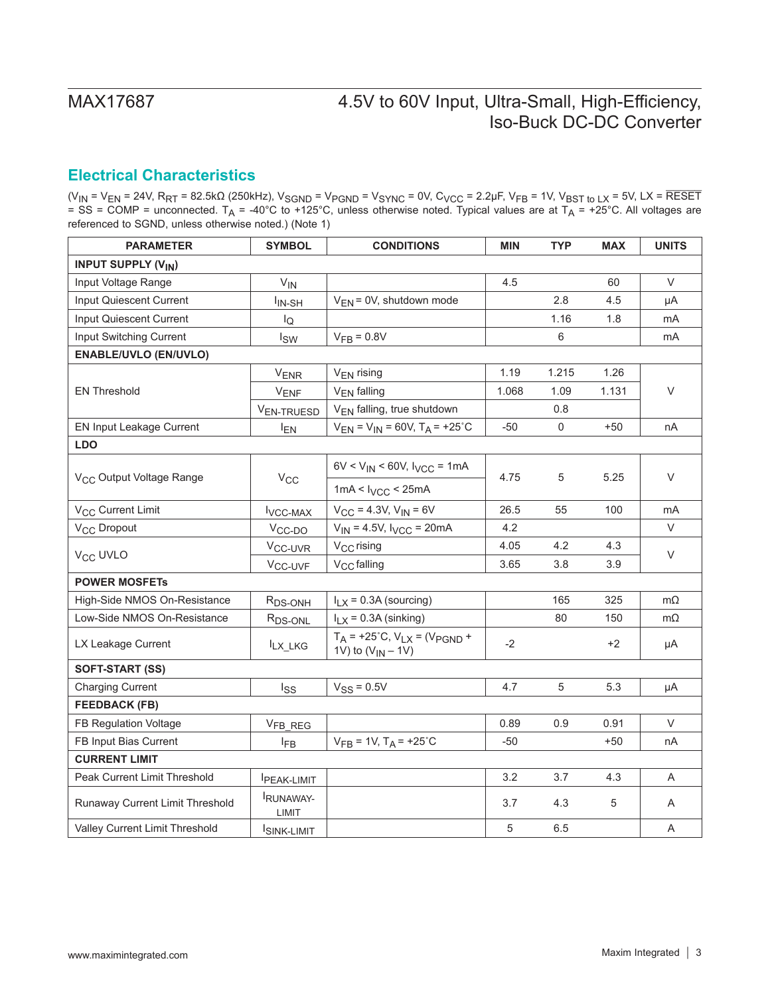## <span id="page-2-0"></span>**Electrical Characteristics**

(V<sub>IN</sub> = V<sub>EN</sub> = 24V, R<sub>RT</sub> = 82.5kΩ (250kHz), V<sub>SGND</sub> = V<sub>PGND</sub> = V<sub>SYNC</sub> = 0V, C<sub>VCC</sub> = 2.2μF, V<sub>FB</sub> = 1V, V<sub>BST to LX</sub> = 5V, LX = RESET = SS = COMP = unconnected. T<sub>A</sub> = -40°C to +125°C, unless otherwise noted. Typical values are at T<sub>A</sub> = +25°C. All voltages are referenced to SGND, unless otherwise noted.) (Note 1)

| <b>PARAMETER</b>                     | <b>SYMBOL</b>            | <b>CONDITIONS</b>                                                  | <b>MIN</b>     | <b>TYP</b>  | <b>MAX</b> | <b>UNITS</b> |
|--------------------------------------|--------------------------|--------------------------------------------------------------------|----------------|-------------|------------|--------------|
| <b>INPUT SUPPLY (VIN)</b>            |                          |                                                                    |                |             |            |              |
| Input Voltage Range                  | $V_{IN}$                 |                                                                    | 4.5            |             | 60         | V            |
| Input Quiescent Current              | I <sub>IN-SH</sub>       | $V_{EN}$ = 0V, shutdown mode                                       |                | 2.8         | 4.5        | μA           |
| Input Quiescent Current              | l <sub>Q</sub>           |                                                                    |                | 1.16        | 1.8        | mA           |
| Input Switching Current              | $I_{SW}$                 | $VFB = 0.8V$                                                       |                | 6           |            | mA           |
| <b>ENABLE/UVLO (EN/UVLO)</b>         |                          |                                                                    |                |             |            |              |
|                                      | <b>VENR</b>              | V <sub>EN</sub> rising                                             | 1.19           | 1.215       | 1.26       |              |
| <b>EN Threshold</b>                  | $V_{ENF}$                | V <sub>EN</sub> falling                                            | 1.068          | 1.09        | 1.131      | $\vee$       |
|                                      | V <sub>EN-TRUESD</sub>   | V <sub>EN</sub> falling, true shutdown                             |                | 0.8         |            |              |
| <b>EN Input Leakage Current</b>      | $I_{EN}$                 | $V_{EN} = V_{IN} = 60V$ , $T_A = +25^{\circ}C$                     | $-50$          | $\mathbf 0$ | $+50$      | nA           |
| <b>LDO</b>                           |                          |                                                                    |                |             |            |              |
| V <sub>CC</sub> Output Voltage Range | $V_{\rm CC}$             | $6V < V_{IN} < 60V$ , $V_{VCC} = 1mA$                              | 4.75           | 5           | 5.25       | V            |
|                                      |                          | $1mA < I_{VCC} < 25mA$                                             |                |             |            |              |
| V <sub>CC</sub> Current Limit        | <b>VCC-MAX</b>           | $V_{CC}$ = 4.3V, $V_{IN}$ = 6V                                     | 26.5           | 55          | 100        | mA           |
| V <sub>CC</sub> Dropout              | V <sub>CC-DO</sub>       | $V_{IN} = 4.5V$ , $V_{VCC} = 20mA$                                 | 4.2            |             |            | V            |
| V <sub>CC</sub> UVLO                 | V <sub>CC-UVR</sub>      | V <sub>CC</sub> rising                                             | 4.05           | 4.2         | 4.3        | $\vee$       |
|                                      | V <sub>CC-UVF</sub>      | V <sub>CC</sub> falling                                            | 3.65           | 3.8         | 3.9        |              |
| <b>POWER MOSFETS</b>                 |                          |                                                                    |                |             |            |              |
| High-Side NMOS On-Resistance         | R <sub>DS-ONH</sub>      | $I_{LX}$ = 0.3A (sourcing)                                         |                | 165         | 325        | $m\Omega$    |
| Low-Side NMOS On-Resistance          | R <sub>DS-ONL</sub>      | $I_{LX}$ = 0.3A (sinking)                                          |                | 80          | 150        | $m\Omega$    |
| LX Leakage Current                   | $I_{LX_L KG}$            | $T_A$ = +25°C, $V_{LX}$ = ( $V_{PGND}$ +<br>1V) to $(V_{IN} - 1V)$ | $-2$           |             | $+2$       | μA           |
| <b>SOFT-START (SS)</b>               |                          |                                                                    |                |             |            |              |
| <b>Charging Current</b>              | $I_{SS}$                 | $V_{SS} = 0.5V$                                                    | 4.7            | 5           | 5.3        | μA           |
| <b>FEEDBACK (FB)</b>                 |                          |                                                                    |                |             |            |              |
| FB Regulation Voltage                | V <sub>FB_REG</sub>      |                                                                    | 0.89           | 0.9         | 0.91       | V            |
| FB Input Bias Current                | $I_{FB}$                 | $V_{FB} = 1V$ , $T_A = +25^{\circ}C$                               | $-50$          |             | $+50$      | nA           |
| <b>CURRENT LIMIT</b>                 |                          |                                                                    |                |             |            |              |
| Peak Current Limit Threshold         | <b>IPEAK-LIMIT</b>       |                                                                    | 3.2            | 3.7         | 4.3        | Α            |
| Runaway Current Limit Threshold      | <b>RUNAWAY-</b><br>LIMIT |                                                                    | 3.7            | 4.3         | 5          | A            |
| Valley Current Limit Threshold       | <b>ISINK-LIMIT</b>       |                                                                    | $\overline{5}$ | 6.5         |            | Α            |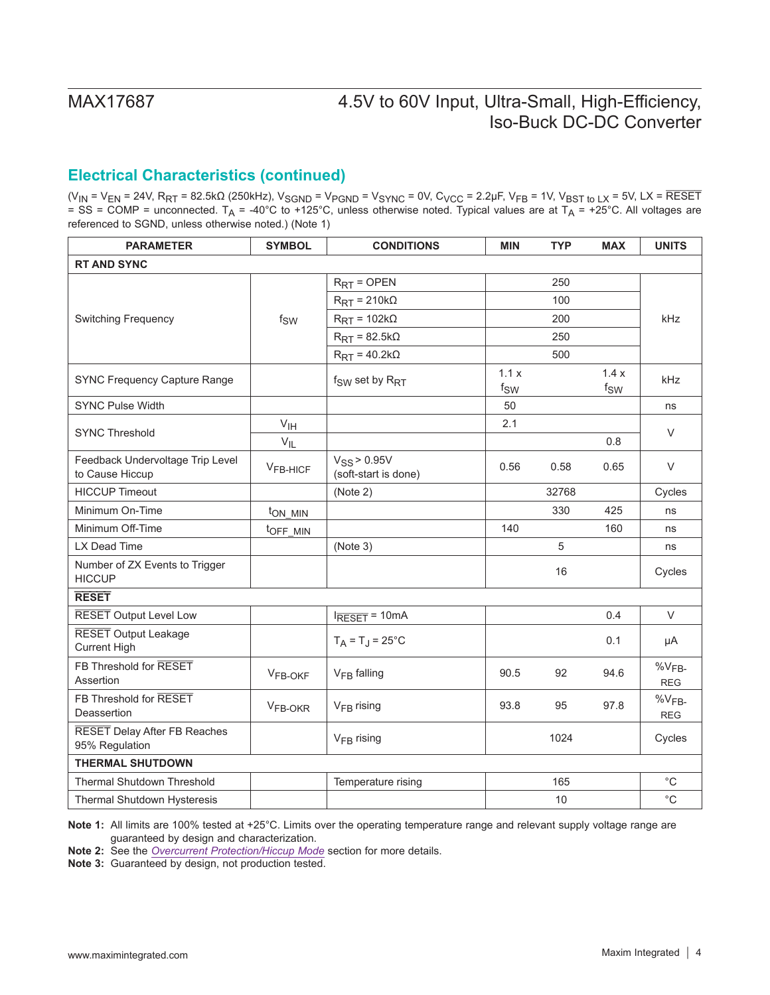## **Electrical Characteristics (continued)**

(V<sub>IN</sub> = V<sub>EN</sub> = 24V, R<sub>RT</sub> = 82.5kΩ (250kHz), V<sub>SGND</sub> = V<sub>PGND</sub> = V<sub>SYNC</sub> = 0V, C<sub>VCC</sub> = 2.2μF, V<sub>FB</sub> = 1V, V<sub>BST to LX</sub> = 5V, LX = RESET = SS = COMP = unconnected. T<sub>A</sub> = -40°C to +125°C, unless otherwise noted. Typical values are at T<sub>A</sub> = +25°C. All voltages are referenced to SGND, unless otherwise noted.) (Note 1)

| <b>PARAMETER</b>                                      | <b>SYMBOL</b>              | <b>CONDITIONS</b>                        | <b>MIN</b>       | <b>TYP</b> | <b>MAX</b>       | <b>UNITS</b>             |  |
|-------------------------------------------------------|----------------------------|------------------------------------------|------------------|------------|------------------|--------------------------|--|
| <b>RT AND SYNC</b>                                    |                            |                                          |                  |            |                  |                          |  |
|                                                       |                            | $R_{RT}$ = OPEN                          |                  | 250        |                  |                          |  |
|                                                       |                            | $R_{\text{RT}} = 210 \text{k}\Omega$     |                  | 100        |                  |                          |  |
| <b>Switching Frequency</b>                            | $f_{SW}$                   | $R_{\text{RT}} = 102k\Omega$             |                  | 200        |                  | <b>kHz</b>               |  |
|                                                       |                            | $R_{\text{RT}}$ = 82.5k $\Omega$         |                  | 250        |                  |                          |  |
|                                                       |                            | $R_{\text{RT}} = 40.2 \text{k}\Omega$    |                  | 500        |                  |                          |  |
| <b>SYNC Frequency Capture Range</b>                   |                            | $f_{SW}$ set by $R_{RT}$                 | 1.1x<br>$f_{SW}$ |            | 1.4x<br>$f_{SW}$ | <b>kHz</b>               |  |
| <b>SYNC Pulse Width</b>                               |                            |                                          | 50               |            |                  | ns                       |  |
| <b>SYNC Threshold</b>                                 | $\mathsf{V}_{\mathsf{IH}}$ |                                          | 2.1              |            |                  | V                        |  |
|                                                       | $V_{IL}$                   |                                          |                  |            | 0.8              |                          |  |
| Feedback Undervoltage Trip Level<br>to Cause Hiccup   | $VFB-HICF$                 | $V_{SS}$ > 0.95V<br>(soft-start is done) | 0.56             | 0.58       | 0.65             | $\vee$                   |  |
| <b>HICCUP Timeout</b>                                 |                            | (Note 2)                                 |                  | 32768      |                  | Cycles                   |  |
| Minimum On-Time                                       | ton MIN                    |                                          |                  | 330        | 425              | ns                       |  |
| Minimum Off-Time                                      | t <sub>OFF_MIN</sub>       |                                          | 140              |            | 160              | ns                       |  |
| LX Dead Time                                          |                            | (Note 3)                                 |                  | 5          |                  | ns                       |  |
| Number of ZX Events to Trigger<br><b>HICCUP</b>       |                            |                                          |                  | 16         |                  | Cycles                   |  |
| <b>RESET</b>                                          |                            |                                          |                  |            |                  |                          |  |
| <b>RESET Output Level Low</b>                         |                            | $l$ <sub>RESET</sub> = 10mA              |                  |            | 0.4              | V                        |  |
| <b>RESET</b> Output Leakage<br><b>Current High</b>    |                            | $T_A = T_J = 25^{\circ}C$                |                  |            | 0.1              | μA                       |  |
| FB Threshold for RESET<br>Assertion                   | VFB-OKF                    | V <sub>FB</sub> falling                  | 90.5             | 92         | 94.6             | $%V_{FB}$<br><b>REG</b>  |  |
| FB Threshold for RESET<br>Deassertion                 | V <sub>FB-OKR</sub>        | $VFB$ rising                             | 93.8             | 95         | 97.8             | $\%V_{FB}$<br><b>REG</b> |  |
| <b>RESET Delay After FB Reaches</b><br>95% Regulation |                            | $V_{FB}$ rising                          |                  | 1024       |                  | Cycles                   |  |
| <b>THERMAL SHUTDOWN</b>                               |                            |                                          |                  |            |                  |                          |  |
| <b>Thermal Shutdown Threshold</b>                     |                            | Temperature rising                       |                  | 165        |                  | $^{\circ}{\rm C}$        |  |
| Thermal Shutdown Hysteresis                           |                            |                                          |                  | 10         |                  | $^{\circ}$ C             |  |

**Note 1:** All limits are 100% tested at +25°C. Limits over the operating temperature range and relevant supply voltage range are guaranteed by design and characterization.

**Note 2:** See the *[Overcurrent Protection/Hiccup Mode](#page-9-0)* section for more details.

**Note 3:** Guaranteed by design, not production tested.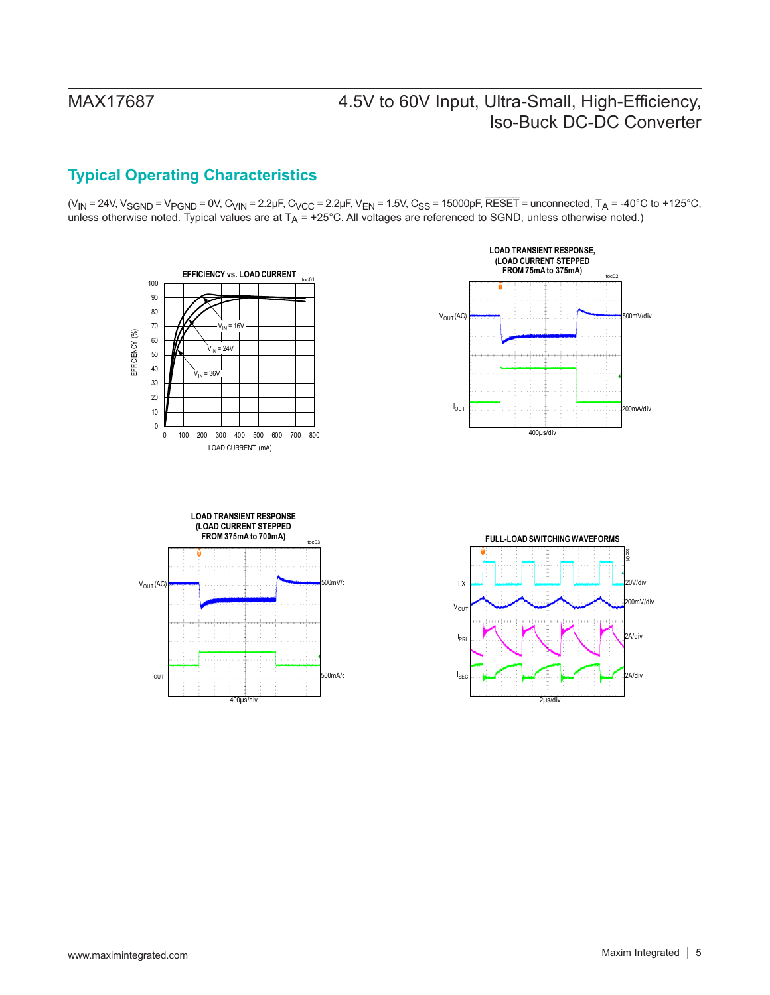## **Typical Operating Characteristics**

 $(V_{IN} = 24V, V_{SGND} = V_{PGND} = 0V, C_{VIN} = 2.2 \mu F, C_{VCC} = 2.2 \mu F, V_{EN} = 1.5V, C_{SS} = 15000 \rho F, \overline{RESET} = unconnected, T_A = -40^{\circ}C to +125^{\circ}C,$ unless otherwise noted. Typical values are at  $T_A = +25^{\circ}$ C. All voltages are referenced to SGND, unless otherwise noted.)







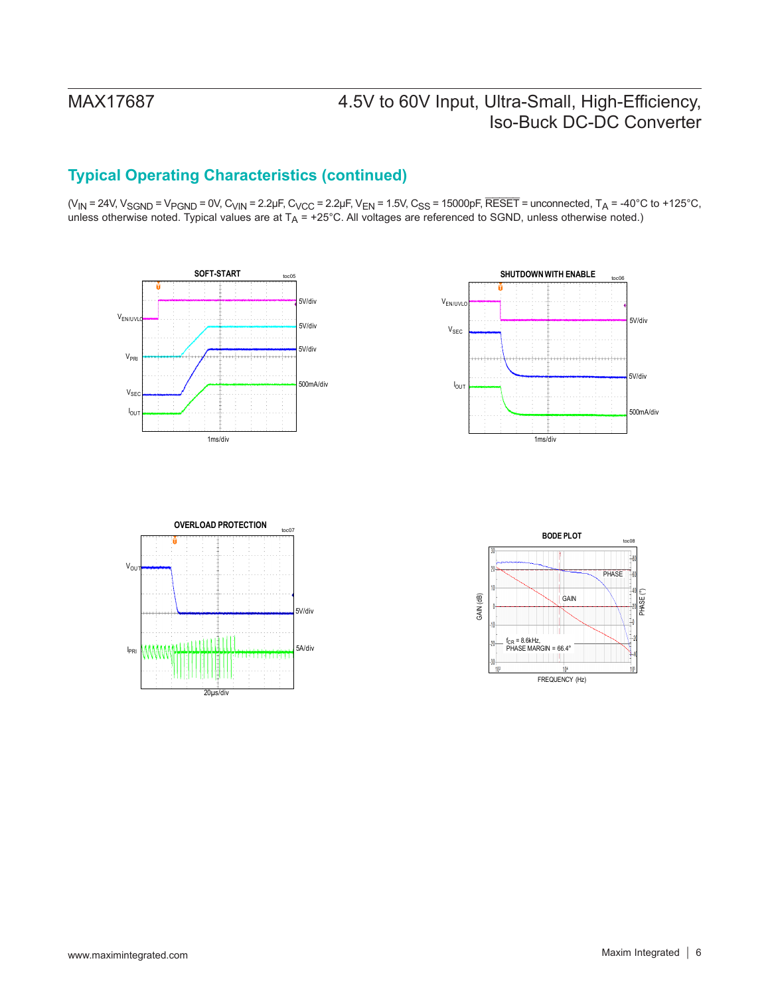## **Typical Operating Characteristics (continued)**

(V<sub>IN</sub> = 24V, V<sub>SGND</sub> = V<sub>PGND</sub> = 0V, C<sub>VIN</sub> = 2.2µF, C<sub>VCC</sub> = 2.2µF, V<sub>EN</sub> = 1.5V, C<sub>SS</sub> = 15000pF, RESET = unconnected, T<sub>A</sub> = -40°C to +125°C, unless otherwise noted. Typical values are at T<sub>A</sub> = +25°C. All voltages are referenced to SGND, unless otherwise noted.)







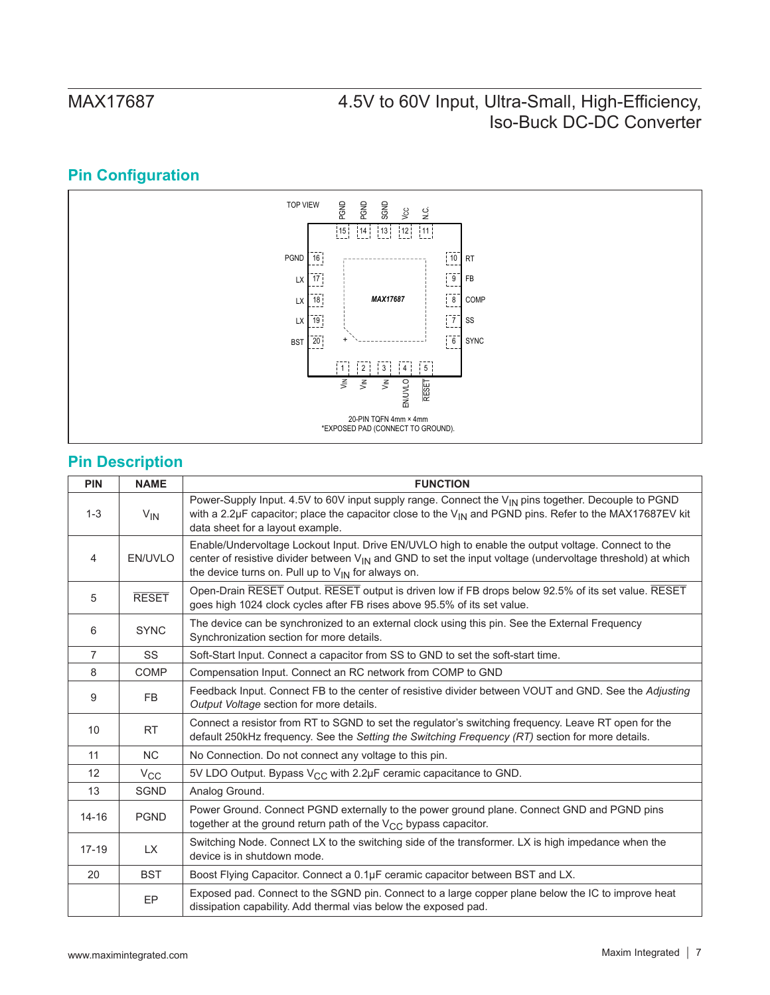## **Pin Configuration**



## **Pin Description**

| <b>PIN</b>     | <b>NAME</b>  | <b>FUNCTION</b>                                                                                                                                                                                                                                                                         |
|----------------|--------------|-----------------------------------------------------------------------------------------------------------------------------------------------------------------------------------------------------------------------------------------------------------------------------------------|
| $1 - 3$        | $V_{IN}$     | Power-Supply Input. 4.5V to 60V input supply range. Connect the V <sub>IN</sub> pins together. Decouple to PGND<br>with a 2.2µF capacitor; place the capacitor close to the $V_{\text{IN}}$ and PGND pins. Refer to the MAX17687EV kit<br>data sheet for a layout example.              |
| 4              | EN/UVLO      | Enable/Undervoltage Lockout Input. Drive EN/UVLO high to enable the output voltage. Connect to the<br>center of resistive divider between V <sub>IN</sub> and GND to set the input voltage (undervoltage threshold) at which<br>the device turns on. Pull up to $V_{IN}$ for always on. |
| 5              | <b>RESET</b> | Open-Drain RESET Output. RESET output is driven low if FB drops below 92.5% of its set value. RESET<br>goes high 1024 clock cycles after FB rises above 95.5% of its set value.                                                                                                         |
| 6              | <b>SYNC</b>  | The device can be synchronized to an external clock using this pin. See the External Frequency<br>Synchronization section for more details.                                                                                                                                             |
| $\overline{7}$ | SS           | Soft-Start Input. Connect a capacitor from SS to GND to set the soft-start time.                                                                                                                                                                                                        |
| 8              | <b>COMP</b>  | Compensation Input. Connect an RC network from COMP to GND                                                                                                                                                                                                                              |
| 9              | <b>FB</b>    | Feedback Input. Connect FB to the center of resistive divider between VOUT and GND. See the Adjusting<br>Output Voltage section for more details.                                                                                                                                       |
| 10             | <b>RT</b>    | Connect a resistor from RT to SGND to set the regulator's switching frequency. Leave RT open for the<br>default 250kHz frequency. See the Setting the Switching Frequency (RT) section for more details.                                                                                |
| 11             | <b>NC</b>    | No Connection. Do not connect any voltage to this pin.                                                                                                                                                                                                                                  |
| 12             | $V_{\rm CC}$ | 5V LDO Output. Bypass V <sub>CC</sub> with 2.2µF ceramic capacitance to GND.                                                                                                                                                                                                            |
| 13             | <b>SGND</b>  | Analog Ground.                                                                                                                                                                                                                                                                          |
| $14 - 16$      | <b>PGND</b>  | Power Ground. Connect PGND externally to the power ground plane. Connect GND and PGND pins<br>together at the ground return path of the V <sub>CC</sub> bypass capacitor.                                                                                                               |
| $17 - 19$      | <b>LX</b>    | Switching Node. Connect LX to the switching side of the transformer. LX is high impedance when the<br>device is in shutdown mode.                                                                                                                                                       |
| 20             | <b>BST</b>   | Boost Flying Capacitor. Connect a 0.1µF ceramic capacitor between BST and LX.                                                                                                                                                                                                           |
|                | <b>EP</b>    | Exposed pad. Connect to the SGND pin. Connect to a large copper plane below the IC to improve heat<br>dissipation capability. Add thermal vias below the exposed pad.                                                                                                                   |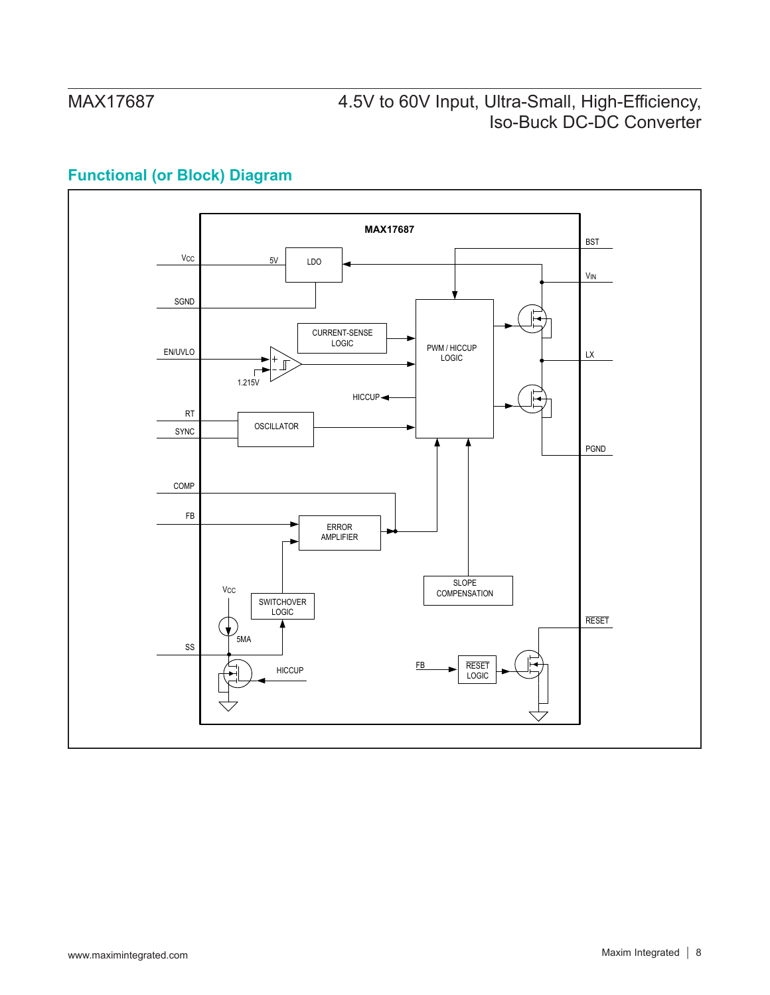## **Functional (or Block) Diagram**

![](_page_7_Figure_3.jpeg)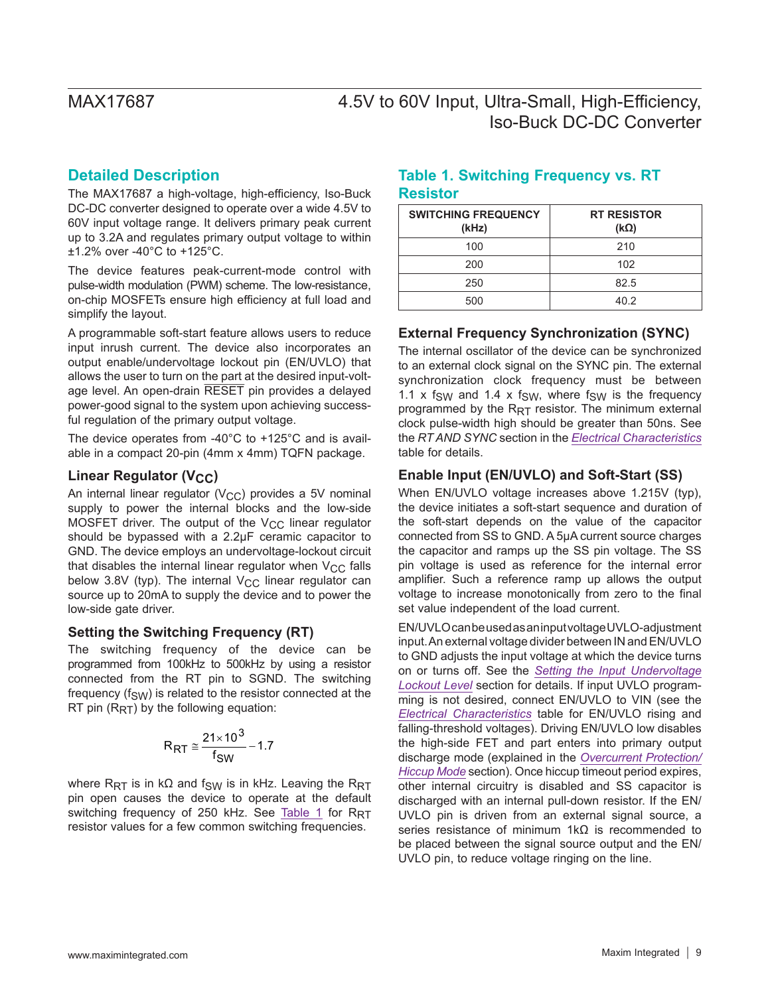## **Detailed Description**

The MAX17687 a high-voltage, high-efficiency, Iso-Buck DC-DC converter designed to operate over a wide 4.5V to 60V input voltage range. It delivers primary peak current up to 3.2A and regulates primary output voltage to within ±1.2% over -40°C to +125°C.

The device features peak-current-mode control with pulse-width modulation (PWM) scheme. The low-resistance, on-chip MOSFETs ensure high efficiency at full load and simplify the layout.

A programmable soft-start feature allows users to reduce input inrush current. The device also incorporates an output enable/undervoltage lockout pin (EN/UVLO) that allows the user to turn on the part at the desired input-voltage level. An open-drain RESET pin provides a delayed power-good signal to the system upon achieving successful regulation of the primary output voltage.

The device operates from -40°C to +125°C and is available in a compact 20-pin (4mm x 4mm) TQFN package.

## **Linear Regulator (V<sub>CC</sub>)**

An internal linear regulator ( $V_{CC}$ ) provides a 5V nominal supply to power the internal blocks and the low-side MOSFET driver. The output of the  $V_{CC}$  linear regulator should be bypassed with a 2.2μF ceramic capacitor to GND. The device employs an undervoltage-lockout circuit that disables the internal linear regulator when  $V_{CC}$  falls below 3.8V (typ). The internal  $V_{CC}$  linear regulator can source up to 20mA to supply the device and to power the low-side gate driver.

### **Setting the Switching Frequency (RT)**

The switching frequency of the device can be programmed from 100kHz to 500kHz by using a resistor connected from the RT pin to SGND. The switching frequency  $(f_{\text{S}W})$  is related to the resistor connected at the RT pin  $(R_{RT})$  by the following equation:

$$
R_{RT} \cong \frac{21 \times 10^3}{f_{SW}} - 1.7
$$

where R<sub>RT</sub> is in kΩ and f<sub>SW</sub> is in kHz. Leaving the R<sub>RT</sub> pin open causes the device to operate at the default switching frequency of 250 kHz. See [Table 1](#page-8-0) for  $R_{RT}$ resistor values for a few common switching frequencies.

## <span id="page-8-0"></span>**Table 1. Switching Frequency vs. RT Resistor**

| <b>SWITCHING FREQUENCY</b><br>(kHz) | <b>RT RESISTOR</b><br>$(k\Omega)$ |
|-------------------------------------|-----------------------------------|
| 100                                 | 210                               |
| 200                                 | 102                               |
| 250                                 | 82.5                              |
| 500                                 | 40.2                              |

### **External Frequency Synchronization (SYNC)**

The internal oscillator of the device can be synchronized to an external clock signal on the SYNC pin. The external synchronization clock frequency must be between 1.1 x f<sub>SW</sub> and 1.4 x f<sub>SW</sub>, where f<sub>SW</sub> is the frequency programmed by the  $R_{RT}$  resistor. The minimum external clock pulse-width high should be greater than 50ns. See the *RT AND SYNC* section in the *[Electrical Characteristics](#page-2-0)* table for details.

### **Enable Input (EN/UVLO) and Soft-Start (SS)**

When EN/UVLO voltage increases above 1.215V (typ), the device initiates a soft-start sequence and duration of the soft-start depends on the value of the capacitor connected from SS to GND. A 5μA current source charges the capacitor and ramps up the SS pin voltage. The SS pin voltage is used as reference for the internal error amplifier. Such a reference ramp up allows the output voltage to increase monotonically from zero to the final set value independent of the load current.

EN/UVLO can be used as an input voltage UVLO-adjustment input. An external voltage divider between IN and EN/UVLO to GND adjusts the input voltage at which the device turns on or turns off. See the *[Setting the Input Undervoltage](#page-14-0) [Lockout Level](#page-14-0)* section for details. If input UVLO programming is not desired, connect EN/UVLO to VIN (see the *[Electrical Characteristics](#page-2-0)* table for EN/UVLO rising and falling-threshold voltages). Driving EN/UVLO low disables the high-side FET and part enters into primary output discharge mode (explained in the *[Overcurrent Protection/](#page-9-0) [Hiccup Mode](#page-9-0)* section). Once hiccup timeout period expires, other internal circuitry is disabled and SS capacitor is discharged with an internal pull-down resistor. If the EN/ UVLO pin is driven from an external signal source, a series resistance of minimum 1kΩ is recommended to be placed between the signal source output and the EN/ UVLO pin, to reduce voltage ringing on the line.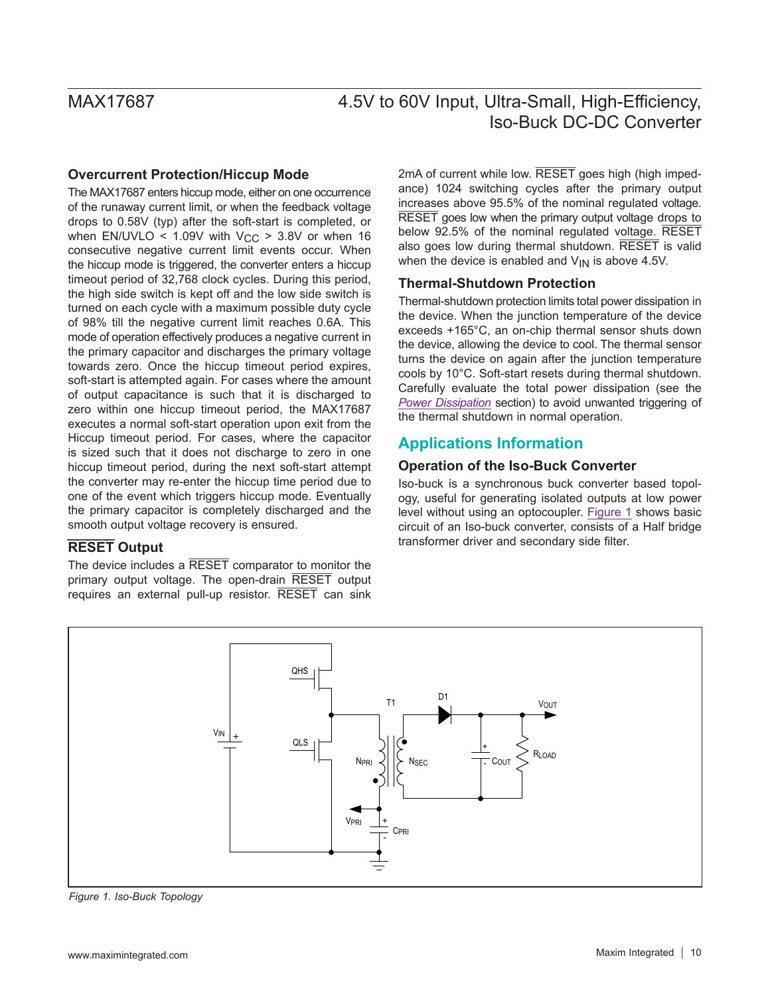### <span id="page-9-0"></span>**Overcurrent Protection/Hiccup Mode**

The MAX17687 enters hiccup mode, either on one occurrence of the runaway current limit, or when the feedback voltage drops to 0.58V (typ) after the soft-start is completed, or when EN/UVLO <  $1.09V$  with  $V_{CC}$  >  $3.8V$  or when 16 consecutive negative current limit events occur. When the hiccup mode is triggered, the converter enters a hiccup timeout period of 32,768 clock cycles. During this period, the high side switch is kept off and the low side switch is turned on each cycle with a maximum possible duty cycle of 98% till the negative current limit reaches 0.6A. This mode of operation effectively produces a negative current in the primary capacitor and discharges the primary voltage towards zero. Once the hiccup timeout period expires, soft-start is attempted again. For cases where the amount of output capacitance is such that it is discharged to zero within one hiccup timeout period, the MAX17687 executes a normal soft-start operation upon exit from the Hiccup timeout period. For cases, where the capacitor is sized such that it does not discharge to zero in one hiccup timeout period, during the next soft-start attempt the converter may re-enter the hiccup time period due to one of the event which triggers hiccup mode. Eventually the primary capacitor is completely discharged and the smooth output voltage recovery is ensured.

## **RESET Output**

The device includes a RESET comparator to monitor the primary output voltage. The open-drain RESET output requires an external pull-up resistor. RESET can sink

2mA of current while low. RESET goes high (high impedance) 1024 switching cycles after the primary output increases above 95.5% of the nominal regulated voltage. RESET goes low when the primary output voltage drops to below 92.5% of the nominal regulated voltage. RESET also goes low during thermal shutdown. RESET is valid when the device is enabled and  $V_{IN}$  is above 4.5V.

## **Thermal-Shutdown Protection**

Thermal-shutdown protection limits total power dissipation in the device. When the junction temperature of the device exceeds +165°C, an on-chip thermal sensor shuts down the device, allowing the device to cool. The thermal sensor turns the device on again after the junction temperature cools by 10°C. Soft-start resets during thermal shutdown. Carefully evaluate the total power dissipation (see the *[Power Dissipation](#page-15-0)* section) to avoid unwanted triggering of the thermal shutdown in normal operation.

## **Applications Information**

### **Operation of the Iso-Buck Converter**

Iso-buck is a synchronous buck converter based topology, useful for generating isolated outputs at low power level without using an optocoupler. [Figure 1](#page-9-1) shows basic circuit of an Iso-buck converter, consists of a Half bridge transformer driver and secondary side filter.

<span id="page-9-1"></span>![](_page_9_Figure_12.jpeg)

*Figure 1. Iso-Buck Topology*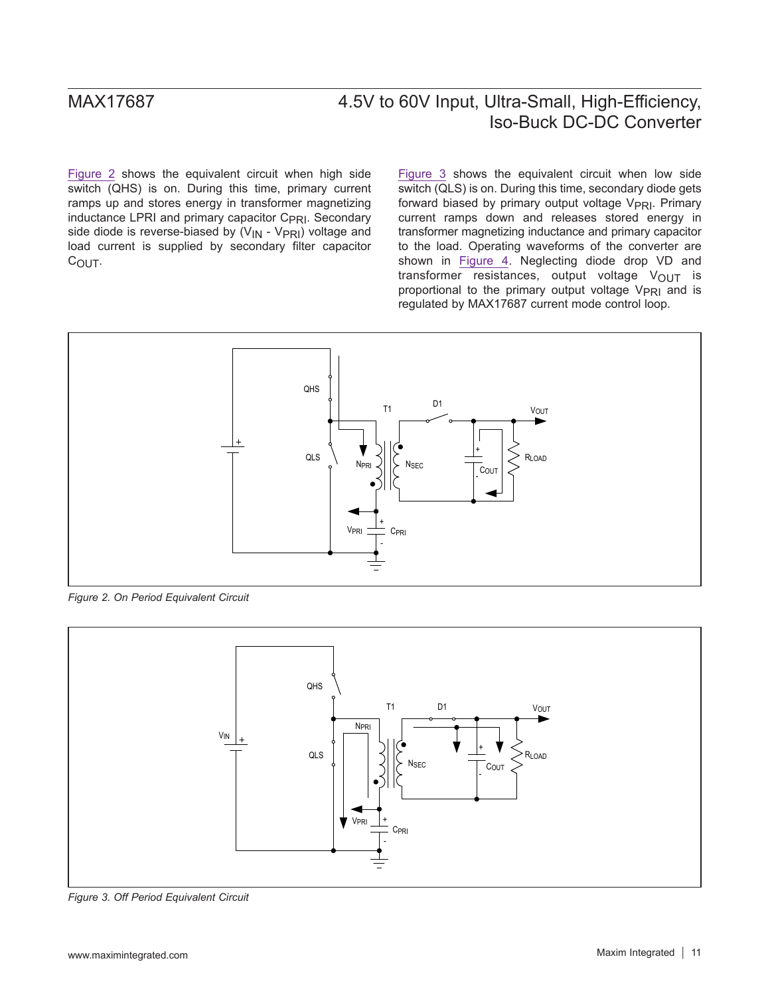[Figure 2](#page-10-0) shows the equivalent circuit when high side switch (QHS) is on. During this time, primary current ramps up and stores energy in transformer magnetizing inductance LPRI and primary capacitor C<sub>PRI</sub>. Secondary side diode is reverse-biased by  $(V_{IN} - V_{PRI})$  voltage and load current is supplied by secondary filter capacitor C<sub>OUT</sub>.

[Figure 3](#page-10-1) shows the equivalent circuit when low side switch (QLS) is on. During this time, secondary diode gets forward biased by primary output voltage V<sub>PRI</sub>. Primary current ramps down and releases stored energy in transformer magnetizing inductance and primary capacitor to the load. Operating waveforms of the converter are shown in [Figure 4.](#page-11-0) Neglecting diode drop VD and transformer resistances, output voltage  $V_{\text{OUT}}$  is proportional to the primary output voltage V<sub>PRI</sub> and is regulated by MAX17687 current mode control loop.

<span id="page-10-0"></span>![](_page_10_Figure_4.jpeg)

*Figure 2. On Period Equivalent Circuit*

<span id="page-10-1"></span>![](_page_10_Figure_6.jpeg)

*Figure 3. Off Period Equivalent Circuit*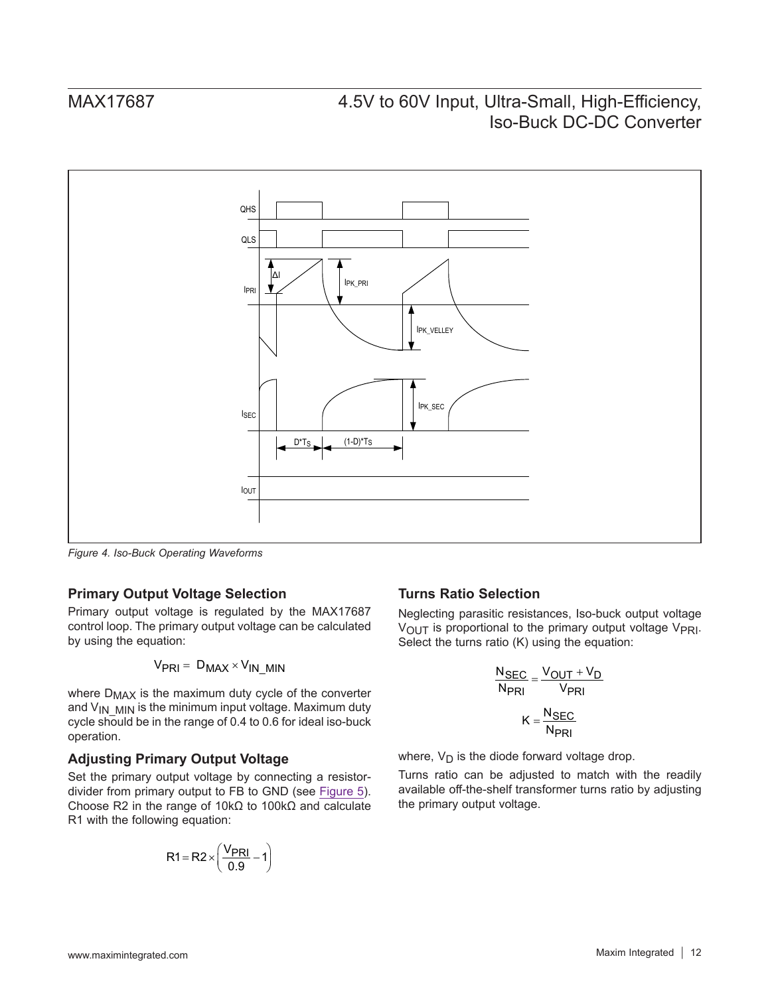<span id="page-11-0"></span>![](_page_11_Figure_2.jpeg)

*Figure 4. Iso-Buck Operating Waveforms*

## **Primary Output Voltage Selection**

Primary output voltage is regulated by the MAX17687 control loop. The primary output voltage can be calculated by using the equation:

$$
V_{PRI} = D_{MAX} \times V_{IN\_MIN}
$$

where  $D_{MAX}$  is the maximum duty cycle of the converter and  $V_{IN-MIN}$  is the minimum input voltage. Maximum duty cycle should be in the range of 0.4 to 0.6 for ideal iso-buck operation.

### **Adjusting Primary Output Voltage**

Set the primary output voltage by connecting a resistordivider from primary output to FB to GND (see [Figure 5](#page-12-0)). Choose R2 in the range of 10kΩ to 100kΩ and calculate R1 with the following equation:

$$
R1 = R2 \times \left(\frac{V_{PRI}}{0.9} - 1\right)
$$

### **Turns Ratio Selection**

Neglecting parasitic resistances, Iso-buck output voltage V<sub>OUT</sub> is proportional to the primary output voltage V<sub>PRI</sub>. Select the turns ratio (K) using the equation:

$$
\frac{N_{SEC}}{N_{PRI}} = \frac{V_{OUT} + V_D}{V_{PRI}}
$$

$$
K = \frac{N_{SEC}}{N_{PRI}}
$$

where,  $V_D$  is the diode forward voltage drop.

Turns ratio can be adjusted to match with the readily available off-the-shelf transformer turns ratio by adjusting the primary output voltage.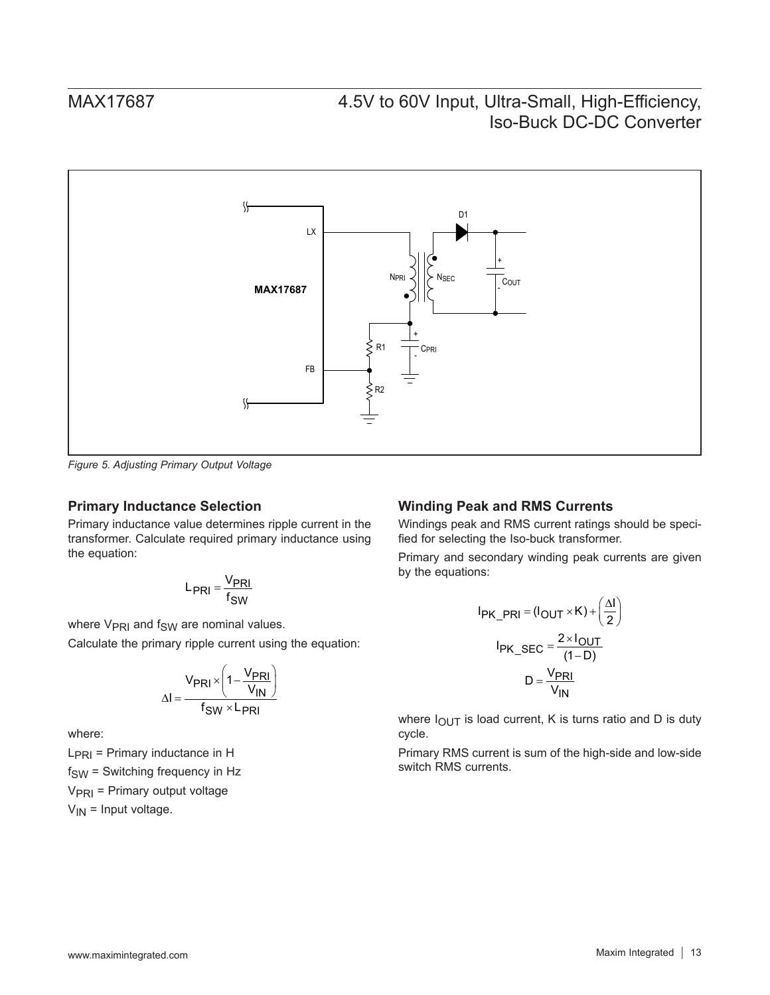<span id="page-12-0"></span>![](_page_12_Figure_2.jpeg)

*Figure 5. Adjusting Primary Output Voltage*

### **Primary Inductance Selection**

Primary inductance value determines ripple current in the transformer. Calculate required primary inductance using the equation:

$$
L_{PRI} = \frac{V_{PRI}}{f_{SW}}
$$

where  $V_{PRI}$  and  $f_{SW}$  are nominal values.

Calculate the primary ripple current using the equation:

$$
\Delta I = \frac{V_{PRI} \times \left(1 - \frac{V_{PRI}}{V_{IN}}\right)}{f_{SW} \times L_{PRI}}
$$

where:

 $L_{\text{PRI}}$  = Primary inductance in H  $f<sub>SW</sub>$  = Switching frequency in Hz  $V_{\text{PRI}}$  = Primary output voltage  $V_{IN}$  = Input voltage.

### **Winding Peak and RMS Currents**

Windings peak and RMS current ratings should be specified for selecting the Iso-buck transformer.

Primary and secondary winding peak currents are given by the equations:

$$
I_{PK\_PRI} = (I_{OUT} \times K) + \left(\frac{\Delta I}{2}\right)
$$

$$
I_{PK\_SEC} = \frac{2 \times I_{OUT}}{(1 - D)}
$$

$$
D = \frac{V_{PRI}}{V_{IN}}
$$

where  $I_{\text{OUT}}$  is load current, K is turns ratio and D is duty cycle.

Primary RMS current is sum of the high-side and low-side switch RMS currents.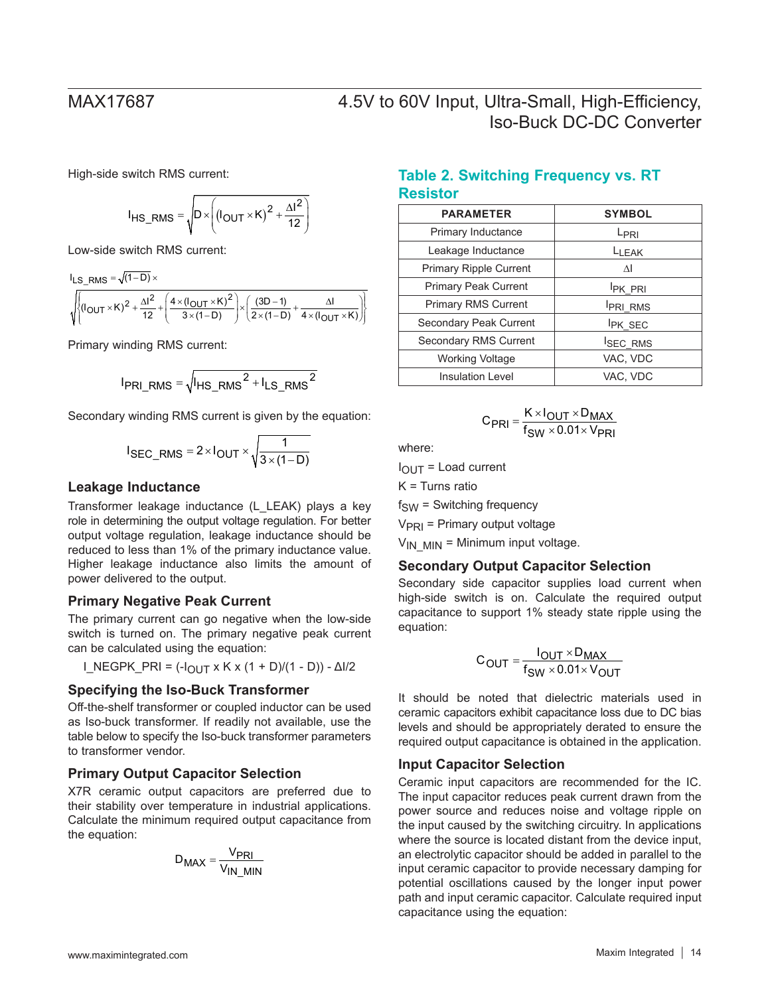High-side switch RMS current:

$$
I_{HS\_RMS} = \sqrt{D \times \left( (I_{OUT} \times K)^2 + \frac{\Delta I^2}{12} \right)}
$$

Low-side switch RMS current:

 $I_{LS\_RMS} = \sqrt{(1-D)} \times$ 

$$
\sqrt{\left\{\left(I_{\text{OUT}}\times K\right)^2+\frac{\Delta I^2}{12}+\left(\frac{4\times(I_{\text{OUT}}\times K)^2}{3\times(1-D)}\right)\times\left(\frac{(3D-1)}{2\times(1-D)}+\frac{\Delta I}{4\times(I_{\text{OUT}}\times K)}\right)\right\}}
$$

Primary winding RMS current:

$$
I_{PRI\_RMS} = \sqrt{I_{HS\_RMS}^2 + I_{LS\_RMS}^2}
$$

Secondary winding RMS current is given by the equation:

$$
I_{SEC\_RMS} = 2 \times I_{OUT} \times \sqrt{\frac{1}{3 \times (1-D)}}
$$

### **Leakage Inductance**

Transformer leakage inductance (L\_LEAK) plays a key role in determining the output voltage regulation. For better output voltage regulation, leakage inductance should be reduced to less than 1% of the primary inductance value. Higher leakage inductance also limits the amount of power delivered to the output.

### **Primary Negative Peak Current**

The primary current can go negative when the low-side switch is turned on. The primary negative peak current can be calculated using the equation:

$$
I_{NEGPK_{PRI}} = (-I_{OUT} \times K \times (1 + D)/(1 - D)) - \Delta I/2
$$

### **Specifying the Iso-Buck Transformer**

Off-the-shelf transformer or coupled inductor can be used as Iso-buck transformer. If readily not available, use the table below to specify the Iso-buck transformer parameters to transformer vendor.

### **Primary Output Capacitor Selection**

X7R ceramic output capacitors are preferred due to their stability over temperature in industrial applications. Calculate the minimum required output capacitance from the equation:

$$
D_{MAX} = \frac{V_{PRI}}{V_{IN\_MIN}}
$$

## **Table 2. Switching Frequency vs. RT Resistor**

| <b>PARAMETER</b>              | <b>SYMBOL</b>    |
|-------------------------------|------------------|
| Primary Inductance            | L <sub>PRI</sub> |
| Leakage Inductance            | LLEAK            |
| <b>Primary Ripple Current</b> | ΛI               |
| <b>Primary Peak Current</b>   | <b>IPK PRI</b>   |
| <b>Primary RMS Current</b>    | <b>PRI RMS</b>   |
| Secondary Peak Current        | <b>IPK SEC</b>   |
| Secondary RMS Current         | <b>ISEC RMS</b>  |
| <b>Working Voltage</b>        | VAC, VDC         |
| <b>Insulation Level</b>       | VAC. VDC         |

$$
C_{\text{PRI}} = \frac{K \times I_{\text{OUT}} \times D_{\text{MAX}}}{f_{\text{SW}} \times 0.01 \times V_{\text{PRI}}}
$$

where:

 $I_{\Omega I}$   $\tau$  = Load current

 $K =$  Turns ratio

 $f<sub>SW</sub> =$  Switching frequency

 $V<sub>PRI</sub>$  = Primary output voltage

 $V_{IN}$  MIN = Minimum input voltage.

### **Secondary Output Capacitor Selection**

Secondary side capacitor supplies load current when high-side switch is on. Calculate the required output capacitance to support 1% steady state ripple using the equation:

$$
C_{OUT} = \frac{I_{OUT} \times D_{MAX}}{f_{SW} \times 0.01 \times V_{OUT}}
$$

It should be noted that dielectric materials used in ceramic capacitors exhibit capacitance loss due to DC bias levels and should be appropriately derated to ensure the required output capacitance is obtained in the application.

### **Input Capacitor Selection**

Ceramic input capacitors are recommended for the IC. The input capacitor reduces peak current drawn from the power source and reduces noise and voltage ripple on the input caused by the switching circuitry. In applications where the source is located distant from the device input, an electrolytic capacitor should be added in parallel to the input ceramic capacitor to provide necessary damping for potential oscillations caused by the longer input power path and input ceramic capacitor. Calculate required input capacitance using the equation: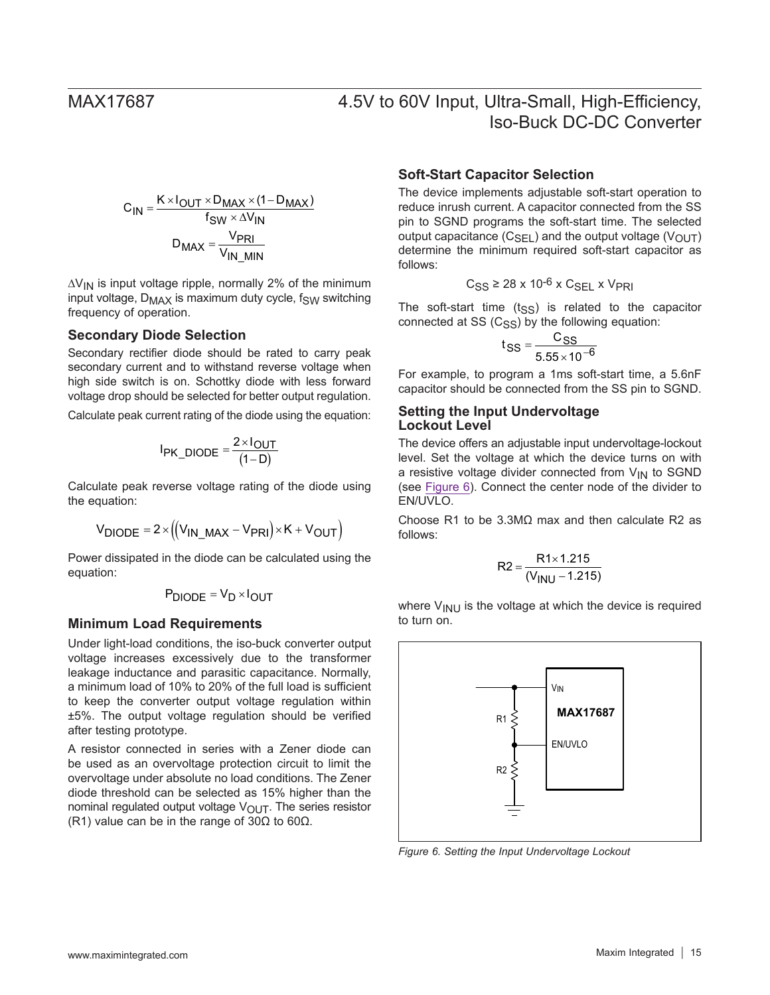$$
C_{IN} = \frac{K \times I_{OUT} \times D_{MAX} \times (1 - D_{MAX})}{f_{SW} \times \Delta V_{IN}}
$$

$$
D_{MAX} = \frac{V_{PRI}}{V_{IN\_MIN}}
$$

∆V<sub>IN</sub> is input voltage ripple, normally 2% of the minimum input voltage,  $D_{MAX}$  is maximum duty cycle,  $f_{SW}$  switching frequency of operation.

### **Secondary Diode Selection**

Secondary rectifier diode should be rated to carry peak secondary current and to withstand reverse voltage when high side switch is on. Schottky diode with less forward voltage drop should be selected for better output regulation.

Calculate peak current rating of the diode using the equation:

$$
I_{PK\_DIODE} = \frac{2 \times I_{OUT}}{(1 - D)}
$$

Calculate peak reverse voltage rating of the diode using the equation:

$$
V_{\text{DIODE}} = 2 \times ((V_{\text{IN\_MAX}} - V_{\text{PRI}}) \times K + V_{\text{OUT}})
$$

Power dissipated in the diode can be calculated using the equation:

$$
P_{DIODE} = V_D \times I_{OUT}
$$

### **Minimum Load Requirements**

Under light-load conditions, the iso-buck converter output voltage increases excessively due to the transformer leakage inductance and parasitic capacitance. Normally, a minimum load of 10% to 20% of the full load is sufficient to keep the converter output voltage regulation within ±5%. The output voltage regulation should be verified after testing prototype.

A resistor connected in series with a Zener diode can be used as an overvoltage protection circuit to limit the overvoltage under absolute no load conditions. The Zener diode threshold can be selected as 15% higher than the nominal regulated output voltage  $V_{\text{OUT}}$ . The series resistor (R1) value can be in the range of 30Ω to 60Ω.

### **Soft-Start Capacitor Selection**

The device implements adjustable soft-start operation to reduce inrush current. A capacitor connected from the SS pin to SGND programs the soft-start time. The selected output capacitance  $(C_{\text{SEL}})$  and the output voltage  $(V_{\text{OUT}})$ determine the minimum required soft-start capacitor as follows:

$$
C_{SS} \ge 28 \times 10^{-6} \times C_{SEL} \times V_{PRI}
$$

The soft-start time  $(t_{SS})$  is related to the capacitor connected at  $SS$  ( $C_{SS}$ ) by the following equation:

$$
t_{SS} = \frac{C_{SS}}{5.55 \times 10^{-6}}
$$

For example, to program a 1ms soft-start time, a 5.6nF capacitor should be connected from the SS pin to SGND.

### <span id="page-14-0"></span>**Setting the Input Undervoltage Lockout Level**

The device offers an adjustable input undervoltage-lockout level. Set the voltage at which the device turns on with a resistive voltage divider connected from  $V_{IN}$  to SGND (see [Figure 6\)](#page-14-1). Connect the center node of the divider to EN/UVLO.

Choose R1 to be 3.3MΩ max and then calculate R2 as follows:

$$
R2 = \frac{R1 \times 1.215}{(V_{INU} - 1.215)}
$$

where  $V_{\text{INI}}$  is the voltage at which the device is required to turn on.

<span id="page-14-1"></span>![](_page_14_Figure_26.jpeg)

*Figure 6. Setting the Input Undervoltage Lockout*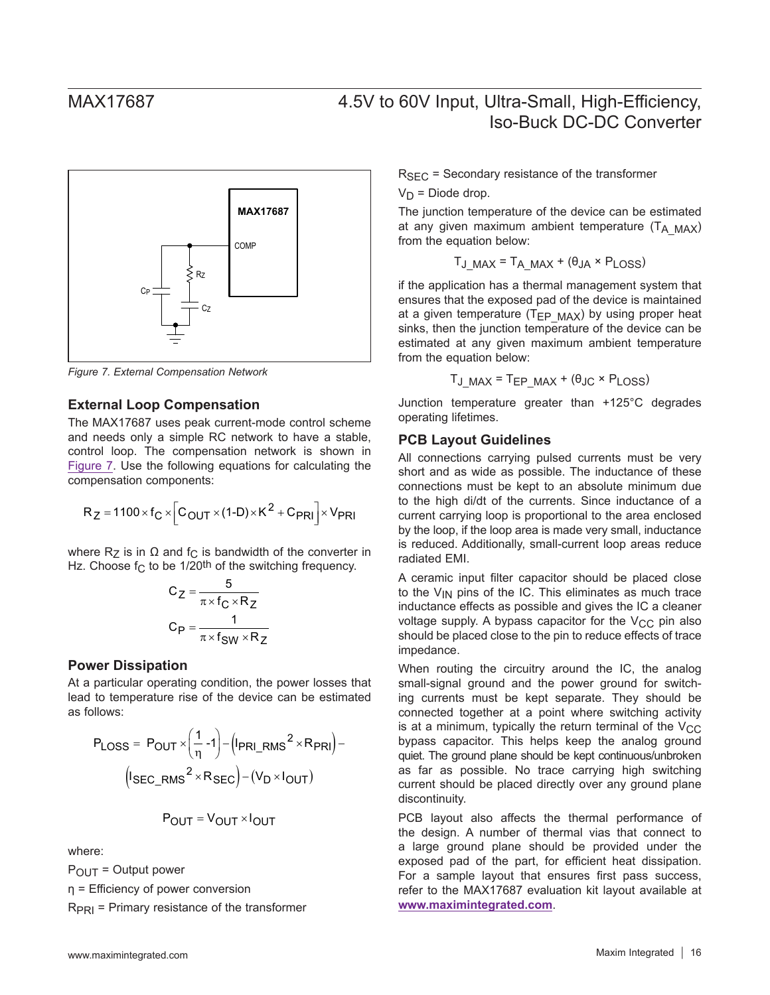<span id="page-15-1"></span>![](_page_15_Figure_2.jpeg)

*Figure 7. External Compensation Network*

### **External Loop Compensation**

The MAX17687 uses peak current-mode control scheme and needs only a simple RC network to have a stable, control loop. The compensation network is shown in [Figure 7.](#page-15-1) Use the following equations for calculating the compensation components:

$$
R_Z = 1100 \times f_C \times \left[ C_{OUT} \times (1-D) \times K^2 + C_{PRI} \right] \times V_{PRI}
$$

where  $R_Z$  is in  $Ω$  and  $f_C$  is bandwidth of the converter in Hz. Choose  $f_C$  to be 1/20<sup>th</sup> of the switching frequency.

$$
C_Z = \frac{5}{\pi \times f_C \times R_Z}
$$

$$
C_P = \frac{1}{\pi \times f_{SW} \times R_Z}
$$

### <span id="page-15-0"></span>**Power Dissipation**

At a particular operating condition, the power losses that lead to temperature rise of the device can be estimated as follows:

$$
P_{\text{LOSS}} = P_{\text{OUT}} \times \left(\frac{1}{\eta} - 1\right) - \left(\frac{I_{\text{PRI\_RMS}}^2 \times R_{\text{PRI}}}{\eta}\right) - \left(\frac{I_{\text{SEC\_RMS}}^2 \times R_{\text{SEC}}}{\eta}\right) - \left(\frac{I_{\text{DEC}}}{\eta} \times R_{\text{SEC}}\right) - \left(\frac{I_{\text{DL}}}{\eta} \times R_{\text{OUT}}\right)
$$

$$
P_{OUT} = V_{OUT} \times I_{OUT}
$$

where:

 $P_{\text{OUT}} =$  Output power

η = Efficiency of power conversion

 $R_{\text{PRI}}$  = Primary resistance of the transformer

 $R<sub>SFC</sub>$  = Secondary resistance of the transformer

 $V_D$  = Diode drop.

The junction temperature of the device can be estimated at any given maximum ambient temperature  $(T_A \text{ MAX})$ from the equation below:

$$
T_{J\_MAX} = T_{A\_MAX} + (\theta_{JA} \times P_{LOSS})
$$

if the application has a thermal management system that ensures that the exposed pad of the device is maintained at a given temperature ( $T_{EP}$   $_{MAX}$ ) by using proper heat sinks, then the junction temperature of the device can be estimated at any given maximum ambient temperature from the equation below:

$$
T_{J\_MAX} = T_{EP\_MAX} + (\theta_{JC} \times P_{LOS})
$$

Junction temperature greater than +125°C degrades operating lifetimes.

### **PCB Layout Guidelines**

All connections carrying pulsed currents must be very short and as wide as possible. The inductance of these connections must be kept to an absolute minimum due to the high di/dt of the currents. Since inductance of a current carrying loop is proportional to the area enclosed by the loop, if the loop area is made very small, inductance is reduced. Additionally, small-current loop areas reduce radiated EMI.

A ceramic input filter capacitor should be placed close to the  $V_{IN}$  pins of the IC. This eliminates as much trace inductance effects as possible and gives the IC a cleaner voltage supply. A bypass capacitor for the  $V_{CC}$  pin also should be placed close to the pin to reduce effects of trace impedance.

When routing the circuitry around the IC, the analog small-signal ground and the power ground for switching currents must be kept separate. They should be connected together at a point where switching activity is at a minimum, typically the return terminal of the  $V_{CC}$ bypass capacitor. This helps keep the analog ground quiet. The ground plane should be kept continuous/unbroken as far as possible. No trace carrying high switching current should be placed directly over any ground plane discontinuity.

PCB layout also affects the thermal performance of the design. A number of thermal vias that connect to a large ground plane should be provided under the exposed pad of the part, for efficient heat dissipation. For a sample layout that ensures first pass success, refer to the MAX17687 evaluation kit layout available at **<www.maximintegrated.com>**.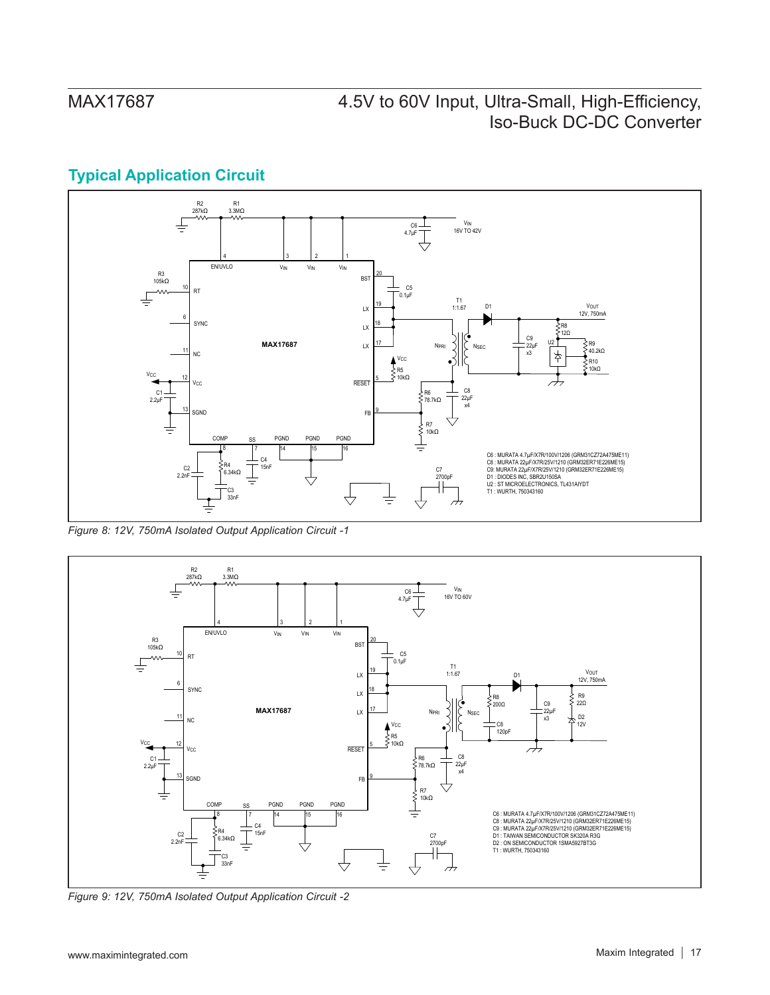## **Typical Application Circuit**

![](_page_16_Figure_3.jpeg)

*Figure 8: 12V, 750mA Isolated Output Application Circuit -1*

![](_page_16_Figure_5.jpeg)

*Figure 9: 12V, 750mA Isolated Output Application Circuit -2*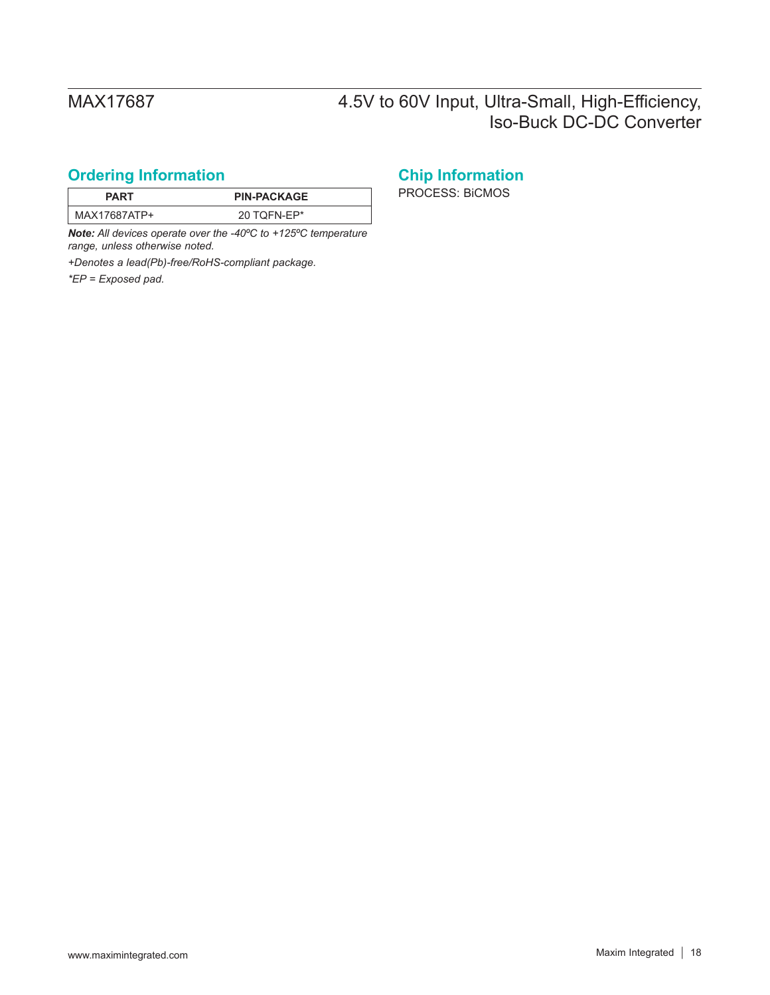## <span id="page-17-0"></span>**Ordering Information Chip Information**

| PART         | <b>PIN-PACKAGE</b> |
|--------------|--------------------|
| MAX17687ATP+ | 20 TQFN-EP*        |

*Note: All devices operate over the -40ºC to +125ºC temperature range, unless otherwise noted.*

*+Denotes a lead(Pb)-free/RoHS-compliant package.*

*\*EP = Exposed pad.*

**PROCESS: BICMOS**